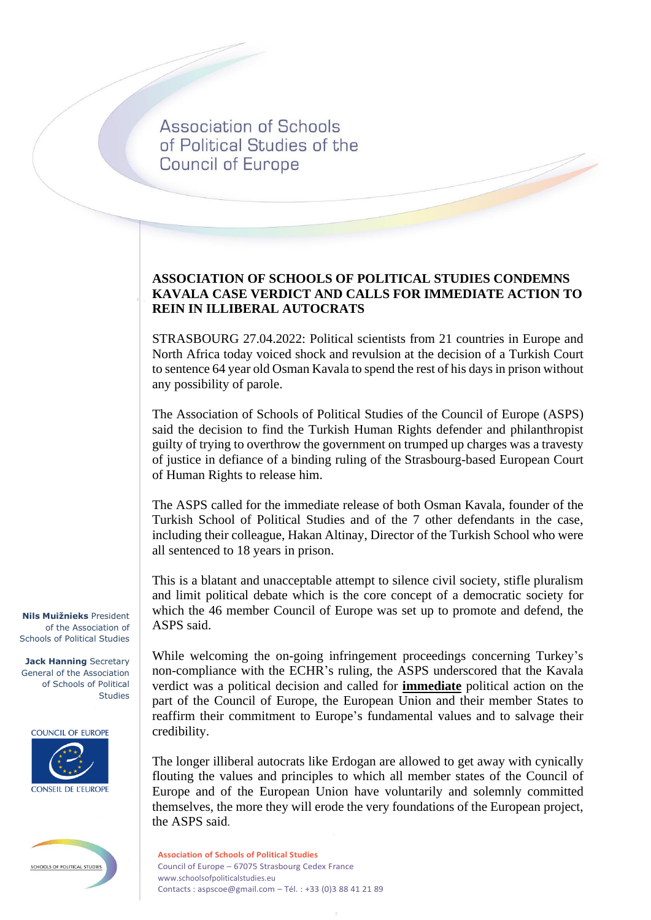Association of Schools of Political Studies of the **Council of Europe** 

## **ASSOCIATION OF SCHOOLS OF POLITICAL STUDIES CONDEMNS KAVALA CASE VERDICT AND CALLS FOR IMMEDIATE ACTION TO REIN IN ILLIBERAL AUTOCRATS**

STRASBOURG 27.04.2022: Political scientists from 21 countries in Europe and North Africa today voiced shock and revulsion at the decision of a Turkish Court to sentence 64 year old Osman Kavala to spend the rest of his days in prison without any possibility of parole.

The Association of Schools of Political Studies of the Council of Europe (ASPS) said the decision to find the Turkish Human Rights defender and philanthropist guilty of trying to overthrow the government on trumped up charges was a travesty of justice in defiance of a binding ruling of the Strasbourg-based European Court of Human Rights to release him.

The ASPS called for the immediate release of both Osman Kavala, founder of the Turkish School of Political Studies and of the 7 other defendants in the case, including their colleague, Hakan Altinay, Director of the Turkish School who were all sentenced to 18 years in prison.

This is a blatant and unacceptable attempt to silence civil society, stifle pluralism and limit political debate which is the core concept of a democratic society for which the 46 member Council of Europe was set up to promote and defend, the ASPS said.

While welcoming the on-going infringement proceedings concerning Turkey's non-compliance with the ECHR's ruling, the ASPS underscored that the Kavala verdict was a political decision and called for **immediate** political action on the part of the Council of Europe, the European Union and their member States to reaffirm their commitment to Europe's fundamental values and to salvage their credibility.

The longer illiberal autocrats like Erdogan are allowed to get away with cynically flouting the values and principles to which all member states of the Council of Europe and of the European Union have voluntarily and solemnly committed themselves, the more they will erode the very foundations of the European project, the ASPS said.

**Nils Muižnieks** President of the Association of Schools of Political Studies

**Jack Hanning** Secretary General of the Association of Schools of Political Studies

**COUNCIL OF EUROPE** 





**Association of Schools of Political Studies** Council of Europe – 67075 Strasbourg Cedex France www.schoolsofpoliticalstudies.eu Contacts : aspscoe@gmail.com – Tél. : +33 (0)3 88 41 21 89